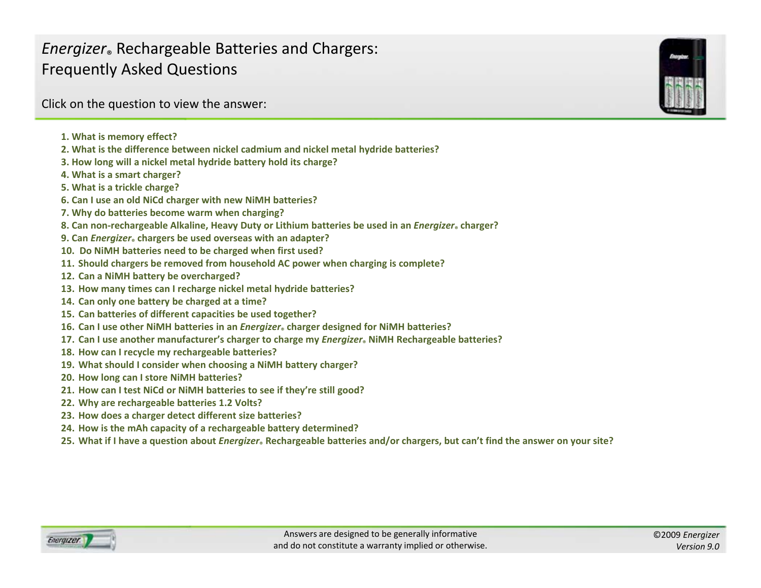<span id="page-0-0"></span>Click on the question to view the answer:

- **1. What is memory effect?**
- **2. What is the difference between nickel cadmium and nickel metal hydride batteries?**
- **3. How long will <sup>a</sup> nickel metal hydride battery hold its charge?**
- **4. What is a smart charger?**
- **5. What is a trickle charge?**
- **6. Can I use an old NiCd charger with new NiMH batteries?**
- **7. Why do batteries become warm when [charging?](#page-1-0)**
- 8. Can non-rechargeable Alkaline, Heavy Duty or Lithium batteries be used in an *Energizer* «charger?
- **9. Can** *Energizer***® chargers be used overseas with an adapter?**
- **10. Do NiMH batteries need to be charged when first used?**
- **11. Should chargers be removed from household AC power when charging is complete?**
- **12. Can <sup>a</sup> NiMH battery be [overcharged?](#page-2-0)**
- **13. How many times can I recharge nickel metal hydride batteries?**
- **14. Can only one battery be charged at <sup>a</sup> time?**
- **15. Can batteries of different capacities be used together?**
- 16. Can I use other NiMH batteries in an *Energizer*。charger designed for NiMH batteries?
- **17. Can I use another manufacturer's charger to charge my** *Energizer***® NiMH [Rechargeable](#page-3-0) batteries?**
- **18. How can I recycle my rechargeable batteries?**
- **19. What should I consider when choosing <sup>a</sup> NiMH battery charger?**
- **20. How long can I store NiMH batteries?**
- **21. How can I test NiCd or NiMH batteries to see if they're still good?**
- **22. Why are [rechargeable](#page-4-0) batteries 1 2. Volts?**
- **23. How does <sup>a</sup> charger detect different size batteries?**
- **24. How is the mAh capacity of <sup>a</sup> rechargeable battery determined?**
- 25. What if I have a question about *Energizer*. [Rechargeable](#page-5-0) batteries and/or chargers, but can't find the answer on your site?

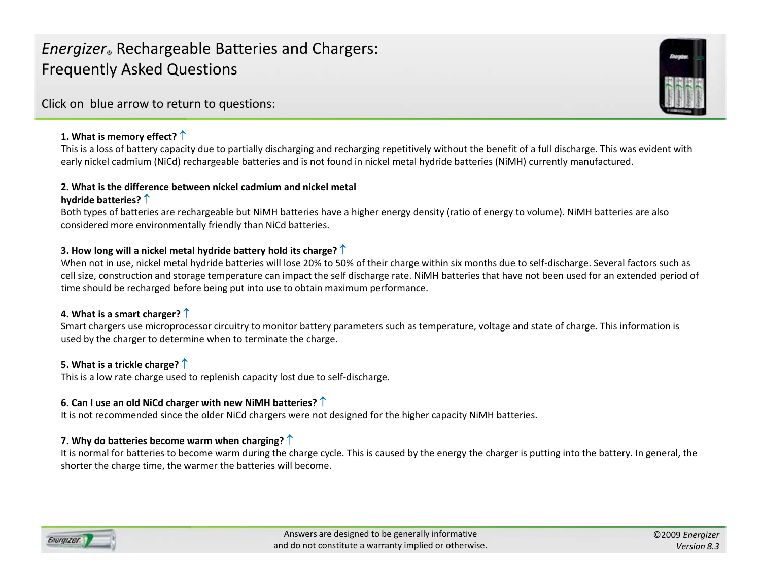<span id="page-1-0"></span>Click on blue arrow to return to questions:

### **1. What is memory effect?** [↑](#page-0-0)

This is a loss of battery capacity due to partially discharging and recharging repetitively without the benefit of <sup>a</sup> full discharge. This was evident with early nickel cadmium (NiCd) rechargeable batteries and is not found in nickel metal hydride batteries (NiMH) currently manufactured.

#### **2. What is the difference between nickel cadmium and nickel metal hydride batteries?** [↑](#page-0-0)

Both types of batteries are rechargeable but NiMH batteries have <sup>a</sup> higher energy density (ratio of energy to volume). NiMH batteries are also considered more environmentally friendly than NiCd batteries.

### **3. How long will <sup>a</sup> nickel metal hydride battery hold its charge?** [↑](#page-0-0)

When not in use, nickel metal hydride batteries will lose 20% to 50% of their charge within six months due to self‐discharge. Several factors such as cell size, construction and storage temperature can impact the self discharge rate. NiMH batteries that have not been used for an extended period of time should be recharged before being put into use to obtain maximum performance.

### **4. What is a smart charger?** [↑](#page-0-0)

Smart chargers use microprocessor circuitry to monitor battery parameters such as temperature, voltage and state of charge. This information is used by the charger to determine when to terminate the charge.

### **5. What is a trickle charge?** [↑](#page-0-0)

This is a low rate charge used to replenish capacity lost due to self‐discharge.

### **6. Can <sup>I</sup> use an old NiCd charger with new NiMH batteries?** [↑](#page-0-0)

It is not recommended since the older NiCd chargers were not designed for the higher capacity NiMH batteries.

### **7. Why do batteries become warm when charging?** [↑](#page-0-0)

It is normal for batteries to become warm during the charge cycle. This is caused by the energy the charger is putting into the battery. In general, the shorter the charge time, the warmer the batteries will become.



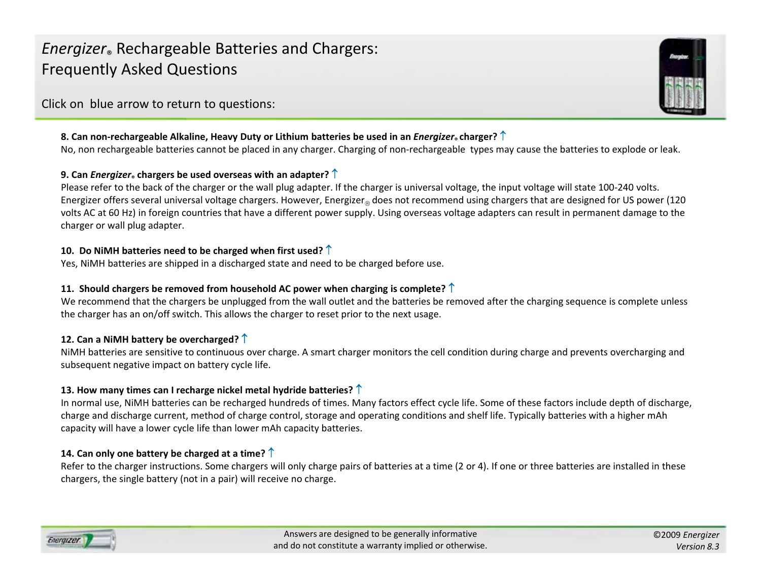<span id="page-2-0"></span>Click on blue arrow to return to questions:

### 8. Can non-rechargeable Alkaline, Heavy Duty or Lithium batteries be used in an *Energizer* ٍ charger?  $\uparrow$

No, non rechargeable batteries cannot be placed in any charger. Charging of non-rechargeable types may cause the batteries to explode or leak.

### **9. Can** *Energizer***® chargers be used overseas with an adapter?** [↑](#page-0-0)

Please refer to the back of the charger or the wall plug adapter. If the charger is universal voltage, the input voltage will state 100‐240 volts. Energizer offers several universal voltage chargers. However, Energizer $_{\circledcirc}$  does not recommend using chargers that are designed for US power (120 volts AC at 60 Hz) in foreign countries that have <sup>a</sup> different power supply. Using overseas voltage adapters can result in permanent damage to the charger or wall plug adapter.

### **10. Do NiMH batteries need to be charged when first used?** [↑](#page-0-0)

Yes, NiMH batteries are shipped in <sup>a</sup> discharged state and need to be charged before use.

### **11. Should chargers be removed from household AC power when charging is complete?** [↑](#page-0-0)

We recommend that the chargers be unplugged from the wall outlet and the batteries be removed after the charging sequence is complete unless the charger has an on/off switch. This allows the charger to reset prior to the next usage.

## **12. Can <sup>a</sup> NiMH battery be overcharged?** [↑](#page-0-0)

NiMH batteries are sensitive to continuous over charge. A smart charger monitors the cell condition during charge and prevents overcharging and subsequent negative impact on battery cycle life.

### **13. How many times can <sup>I</sup> recharge nickel metal hydride batteries?** [↑](#page-0-0)

In normal use, NiMH batteries can be recharged hundreds of times. Many factors effect cycle life. Some of these factors include depth of discharge, charge and discharge current, method of charge control, storage and operating conditions and shelf life. Typically batteries with <sup>a</sup> higher mAh capacity will have <sup>a</sup> lower cycle life than lower mAh capacity batteries.

## **14. Can only one battery be charged at <sup>a</sup> time?** [↑](#page-0-0)

Refer to the charger instructions. Some chargers will only charge pairs of batteries at <sup>a</sup> time (2 or 4). If one or three batteries are installed in these chargers, the single battery (not in a pair) will receive no charge.

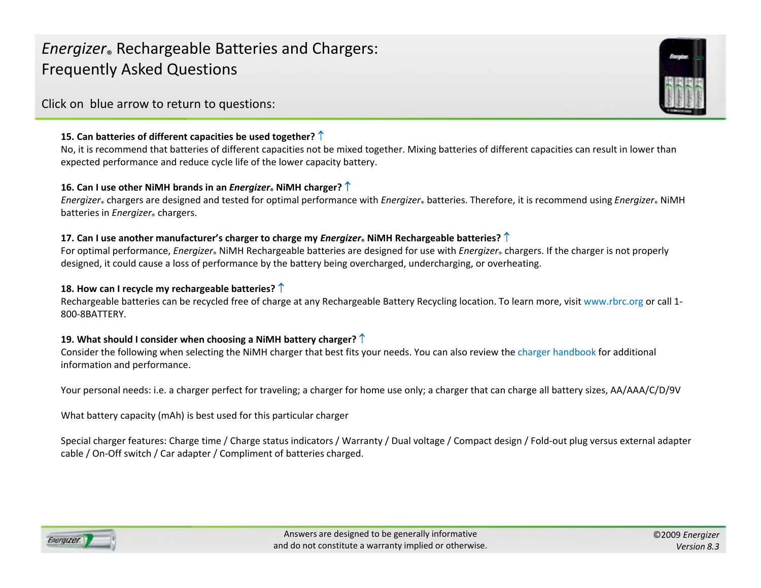<span id="page-3-0"></span>Click on blue arrow to return to questions:

### **15. Can batteries of different capacities be used together?** [↑](#page-0-0)

No, it is recommend that batteries of different capacities not be mixed together. Mixing batteries of different capacities can result in lower than expected performance and reduce cycle life of the lower capacity battery.

### **16. Can I use other NiMH brands in an** *Energizer***® NiMH charger?** [↑](#page-0-0)

*Energizer*® chargers are designed and tested for optimal performance with *Energizer*® batteries. Therefore, it is recommend using *Energizer*® NiMH batteries in *Energizer*® chargers.

### **17. Can I use another manufacturer's charger to charge my** *Energizer***® NiMH Rechargeable batteries?** [↑](#page-0-0)

For optimal performance, *Energizer*® NiMH Rechargeable batteries are designed for use with *Energizer*® chargers. If the charger is not properly designed, it could cause <sup>a</sup> loss of performance by the battery being overcharged, undercharging, or overheating.

### **18. How can <sup>I</sup> recycle my rechargeable batteries?** [↑](#page-0-0)

Rechargeable batteries can be recycled free of charge at any Rechargeable Battery Recycling location. To learn more, visit [www.rbrc.org](http://www.call2recycle.org/) or call 1-800‐8BATTERY.

### **19. What should <sup>I</sup> consider when choosing <sup>a</sup> NiMH battery charger?** [↑](#page-0-0)

Consider the following when selecting the NiMH charger that best fits your needs. You can also review the charger [handbook](http://data.energizer.com/PDFs/charger_appman.pdf) for additional information and performance.

Your personal needs: i.e. <sup>a</sup> charger perfect for traveling; <sup>a</sup> charger for home use only; <sup>a</sup> charger that can charge all battery sizes, AA/AAA/C/D/9V

What battery capacity (mAh) is best used for this particular charger

Special charger features: Charge time / Charge status indicators / Warranty / Dual voltage / Compact design / Fold‐out plug versus external adapter cable / On‐Off switch / Car adapter / Compliment of batteries charged.



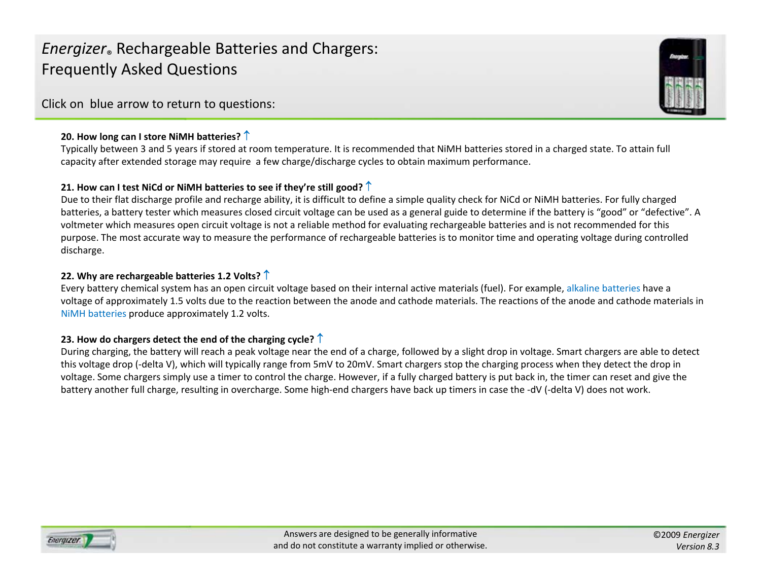<span id="page-4-0"></span>Click on blue arrow to return to questions:

### **20. How long can <sup>I</sup> store NiMH batteries?** [↑](#page-0-0)

Typically between 3 and 5 years if stored at room temperature. It is recommended that NiMH batteries stored in <sup>a</sup> charged state. To attain full capacity after extended storage may require <sup>a</sup> few charge/discharge cycles to obtain maximum performance.

### **21. How can <sup>I</sup> test NiCd or NiMH batteries to see if they're still good?** [↑](#page-0-0)

Due to their flat discharge profile and recharge ability, it is difficult to define <sup>a</sup> simple quality check for NiCd or NiMH batteries. For fully charged batteries, <sup>a</sup> battery tester which measures closed circuit voltage can be used as <sup>a</sup> general guide to determine if the battery is "good" or "defective". A voltmeter which measures open circuit voltage is not <sup>a</sup> reliable method for evaluating rechargeable batteries and is not recommended for this purpose. The most accurate way to measure the performance of rechargeable batteries is to monitor time and operating voltage during controlled discharge.

### **22. Why are rechargeable batteries 1.2 Volts?** [↑](#page-0-0)

Every battery chemical system has an open circuit voltage based on their internal active materials (fuel). For example, alkaline [batteries](http://data.energizer.com/PDFs/alkaline_Xsection.pdf) have <sup>a</sup> voltage of approximately 1.5 volts due to the reaction between the anode and cathode materials. The reactions of the anode and cathode materials in NiMH [batteries](http://data.energizer.com/PDFs/nickelmetalhydride_xsection.pdf) produce approximately 1.2 volts.

### **23. How do chargers detect the end of the charging cycle?** [↑](#page-0-0)

During charging, the battery will reach <sup>a</sup> peak voltage near the end of <sup>a</sup> charge, followed by <sup>a</sup> slight drop in voltage. Smart chargers are able to detect this voltage drop (‐delta V), which will typically range from 5mV to 20mV. Smart chargers stop the charging process when they detect the drop in voltage. Some chargers simply use <sup>a</sup> timer to control the charge. However, if <sup>a</sup> fully charged battery is put back in, the timer can reset and give the battery another full charge, resulting in overcharge. Some high-end chargers have back up timers in case the -dV (-delta V) does not work.